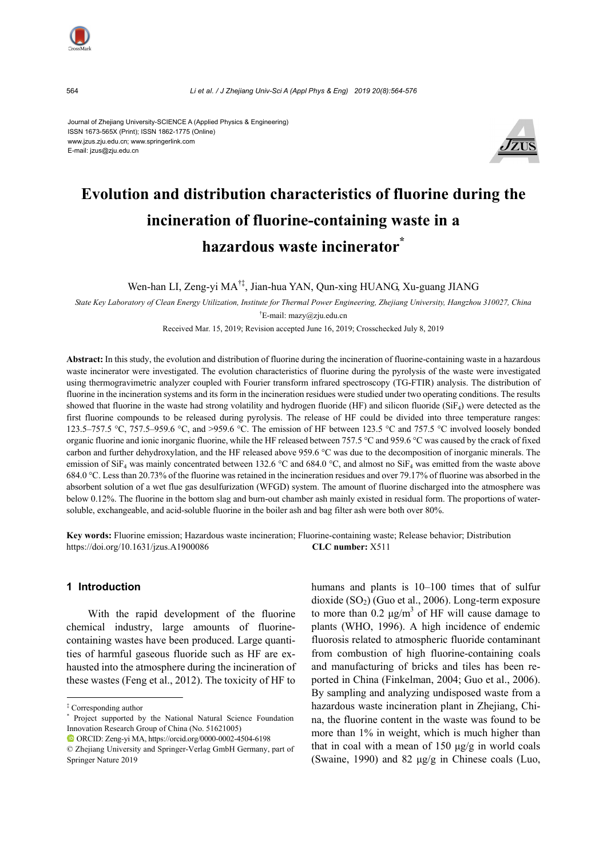

564 *Li et al. / J Zhejiang Univ-Sci A (Appl Phys & Eng) 2019 20(8):564-576*

Journal of Zhejiang University-SCIENCE A (Applied Physics & Engineering) ISSN 1673-565X (Print); ISSN 1862-1775 (Online) www.jzus.zju.edu.cn; www.springerlink.com E-mail: jzus@zju.edu.cn



# **Evolution and distribution characteristics of fluorine during the incineration of fluorine-containing waste in a hazardous waste incinerator\***

Wen-han LI, Zeng-yi MA†‡, Jian-hua YAN, Qun-xing HUANG, Xu-guang JIANG

*State Key Laboratory of Clean Energy Utilization, Institute for Thermal Power Engineering, Zhejiang University, Hangzhou 310027, China*  † E-mail: mazy@zju.edu.cn

Received Mar. 15, 2019; Revision accepted June 16, 2019; Crosschecked July 8, 2019

**Abstract:** In this study, the evolution and distribution of fluorine during the incineration of fluorine-containing waste in a hazardous waste incinerator were investigated. The evolution characteristics of fluorine during the pyrolysis of the waste were investigated using thermogravimetric analyzer coupled with Fourier transform infrared spectroscopy (TG-FTIR) analysis. The distribution of fluorine in the incineration systems and its form in the incineration residues were studied under two operating conditions. The results showed that fluorine in the waste had strong volatility and hydrogen fluoride (HF) and silicon fluoride (SiF<sub>4</sub>) were detected as the first fluorine compounds to be released during pyrolysis. The release of HF could be divided into three temperature ranges: 123.5–757.5 °C, 757.5–959.6 °C, and >959.6 °C. The emission of HF between 123.5 °C and 757.5 °C involved loosely bonded organic fluorine and ionic inorganic fluorine, while the HF released between 757.5 °C and 959.6 °C was caused by the crack of fixed carbon and further dehydroxylation, and the HF released above 959.6 °C was due to the decomposition of inorganic minerals. The emission of SiF<sub>4</sub> was mainly concentrated between 132.6 °C and 684.0 °C, and almost no SiF<sub>4</sub> was emitted from the waste above 684.0 °C. Less than 20.73% of the fluorine was retained in the incineration residues and over 79.17% of fluorine was absorbed in the absorbent solution of a wet flue gas desulfurization (WFGD) system. The amount of fluorine discharged into the atmosphere was below 0.12%. The fluorine in the bottom slag and burn-out chamber ash mainly existed in residual form. The proportions of watersoluble, exchangeable, and acid-soluble fluorine in the boiler ash and bag filter ash were both over 80%.

**Key words:** Fluorine emission; Hazardous waste incineration; Fluorine-containing waste; Release behavior; Distribution https://doi.org/10.1631/jzus.A1900086 **CLC number:** X511

## **1 Introduction**

With the rapid development of the fluorine chemical industry, large amounts of fluorinecontaining wastes have been produced. Large quantities of harmful gaseous fluoride such as HF are exhausted into the atmosphere during the incineration of these wastes (Feng et al., 2012). The toxicity of HF to

humans and plants is 10–100 times that of sulfur dioxide  $(SO<sub>2</sub>)$  (Guo et al., 2006). Long-term exposure to more than  $0.2 \mu g/m^3$  of HF will cause damage to plants (WHO, 1996). A high incidence of endemic fluorosis related to atmospheric fluoride contaminant from combustion of high fluorine-containing coals and manufacturing of bricks and tiles has been reported in China (Finkelman, 2004; Guo et al., 2006). By sampling and analyzing undisposed waste from a hazardous waste incineration plant in Zhejiang, China, the fluorine content in the waste was found to be more than 1% in weight, which is much higher than that in coal with a mean of  $150 \mu g/g$  in world coals (Swaine, 1990) and 82 μg/g in Chinese coals (Luo,

<sup>‡</sup> Corresponding author

<sup>\*</sup> Project supported by the National Natural Science Foundation Innovation Research Group of China (No. 51621005)

ORCID: Zeng-yi MA, https://orcid.org/0000-0002-4504-6198

<sup>©</sup> Zhejiang University and Springer-Verlag GmbH Germany, part of Springer Nature 2019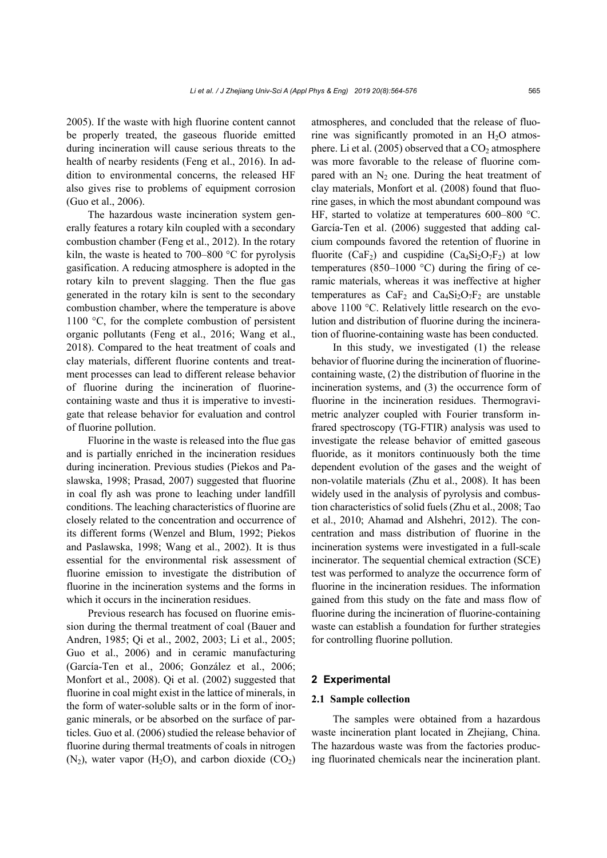2005). If the waste with high fluorine content cannot be properly treated, the gaseous fluoride emitted during incineration will cause serious threats to the health of nearby residents (Feng et al., 2016). In addition to environmental concerns, the released HF also gives rise to problems of equipment corrosion (Guo et al., 2006).

The hazardous waste incineration system generally features a rotary kiln coupled with a secondary combustion chamber (Feng et al., 2012). In the rotary kiln, the waste is heated to  $700-800$  °C for pyrolysis gasification. A reducing atmosphere is adopted in the rotary kiln to prevent slagging. Then the flue gas generated in the rotary kiln is sent to the secondary combustion chamber, where the temperature is above 1100 °C, for the complete combustion of persistent organic pollutants (Feng et al., 2016; Wang et al., 2018). Compared to the heat treatment of coals and clay materials, different fluorine contents and treatment processes can lead to different release behavior of fluorine during the incineration of fluorinecontaining waste and thus it is imperative to investigate that release behavior for evaluation and control of fluorine pollution.

Fluorine in the waste is released into the flue gas and is partially enriched in the incineration residues during incineration. Previous studies (Piekos and Paslawska, 1998; Prasad, 2007) suggested that fluorine in coal fly ash was prone to leaching under landfill conditions. The leaching characteristics of fluorine are closely related to the concentration and occurrence of its different forms (Wenzel and Blum, 1992; Piekos and Paslawska, 1998; Wang et al., 2002). It is thus essential for the environmental risk assessment of fluorine emission to investigate the distribution of fluorine in the incineration systems and the forms in which it occurs in the incineration residues.

Previous research has focused on fluorine emission during the thermal treatment of coal (Bauer and Andren, 1985; Qi et al., 2002, 2003; Li et al., 2005; Guo et al., 2006) and in ceramic manufacturing (García-Ten et al., 2006; González et al., 2006; Monfort et al., 2008). Qi et al. (2002) suggested that fluorine in coal might exist in the lattice of minerals, in the form of water-soluble salts or in the form of inorganic minerals, or be absorbed on the surface of particles. Guo et al. (2006) studied the release behavior of fluorine during thermal treatments of coals in nitrogen  $(N_2)$ , water vapor  $(H_2O)$ , and carbon dioxide  $(CO_2)$  atmospheres, and concluded that the release of fluorine was significantly promoted in an  $H<sub>2</sub>O$  atmosphere. Li et al.  $(2005)$  observed that a  $CO<sub>2</sub>$  atmosphere was more favorable to the release of fluorine compared with an  $N_2$  one. During the heat treatment of clay materials, Monfort et al. (2008) found that fluorine gases, in which the most abundant compound was HF, started to volatize at temperatures 600–800 °C. García-Ten et al. (2006) suggested that adding calcium compounds favored the retention of fluorine in fluorite (CaF<sub>2</sub>) and cuspidine (Ca<sub>4</sub>Si<sub>2</sub>O<sub>7</sub>F<sub>2</sub>) at low temperatures (850–1000  $^{\circ}$ C) during the firing of ceramic materials, whereas it was ineffective at higher temperatures as  $CaF_2$  and  $Ca_4Si_2O_7F_2$  are unstable above 1100 °C. Relatively little research on the evolution and distribution of fluorine during the incineration of fluorine-containing waste has been conducted.

In this study, we investigated (1) the release behavior of fluorine during the incineration of fluorinecontaining waste, (2) the distribution of fluorine in the incineration systems, and (3) the occurrence form of fluorine in the incineration residues. Thermogravimetric analyzer coupled with Fourier transform infrared spectroscopy (TG-FTIR) analysis was used to investigate the release behavior of emitted gaseous fluoride, as it monitors continuously both the time dependent evolution of the gases and the weight of non-volatile materials (Zhu et al., 2008). It has been widely used in the analysis of pyrolysis and combustion characteristics of solid fuels (Zhu et al., 2008; Tao et al., 2010; Ahamad and Alshehri, 2012). The concentration and mass distribution of fluorine in the incineration systems were investigated in a full-scale incinerator. The sequential chemical extraction (SCE) test was performed to analyze the occurrence form of fluorine in the incineration residues. The information gained from this study on the fate and mass flow of fluorine during the incineration of fluorine-containing waste can establish a foundation for further strategies for controlling fluorine pollution.

#### **2 Experimental**

#### **2.1 Sample collection**

The samples were obtained from a hazardous waste incineration plant located in Zhejiang, China. The hazardous waste was from the factories producing fluorinated chemicals near the incineration plant.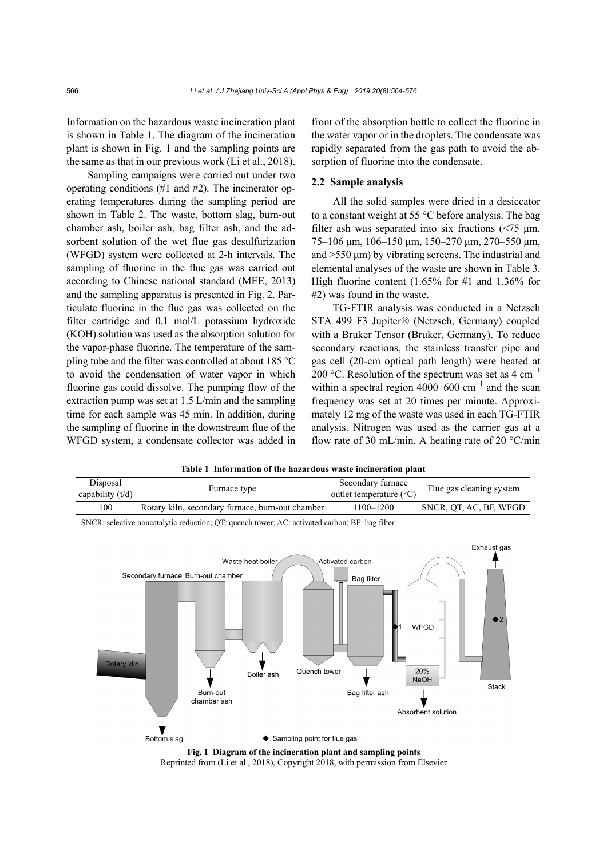Information on the hazardous waste incineration plant is shown in Table 1. The diagram of the incineration plant is shown in Fig. 1 and the sampling points are the same as that in our previous work (Li et al., 2018).

Sampling campaigns were carried out under two operating conditions (#1 and #2). The incinerator operating temperatures during the sampling period are shown in Table 2. The waste, bottom slag, burn-out chamber ash, boiler ash, bag filter ash, and the adsorbent solution of the wet flue gas desulfurization (WFGD) system were collected at 2-h intervals. The sampling of fluorine in the flue gas was carried out according to Chinese national standard (MEE, 2013) and the sampling apparatus is presented in Fig. 2. Particulate fluorine in the flue gas was collected on the filter cartridge and 0.1 mol/L potassium hydroxide (KOH) solution was used as the absorption solution for the vapor-phase fluorine. The temperature of the sampling tube and the filter was controlled at about 185 °C to avoid the condensation of water vapor in which fluorine gas could dissolve. The pumping flow of the extraction pump was set at 1.5 L/min and the sampling time for each sample was 45 min. In addition, during the sampling of fluorine in the downstream flue of the WFGD system, a condensate collector was added in front of the absorption bottle to collect the fluorine in the water vapor or in the droplets. The condensate was rapidly separated from the gas path to avoid the absorption of fluorine into the condensate.

## **2.2 Sample analysis**

All the solid samples were dried in a desiccator to a constant weight at 55 °C before analysis. The bag filter ash was separated into six fractions  $\left( \langle 75 \mu m \rangle \right)$ 75–106 μm, 106–150 μm, 150–270 μm, 270–550 μm, and >550 μm) by vibrating screens. The industrial and elemental analyses of the waste are shown in Table 3. High fluorine content (1.65% for #1 and 1.36% for #2) was found in the waste.

TG-FTIR analysis was conducted in a Netzsch STA 499 F3 Jupiter® (Netzsch, Germany) coupled with a Bruker Tensor (Bruker, Germany). To reduce secondary reactions, the stainless transfer pipe and gas cell (20-cm optical path length) were heated at 200 °C. Resolution of the spectrum was set as  $4 \text{ cm}^{-1}$ within a spectral region 4000–600  $cm^{-1}$  and the scan frequency was set at 20 times per minute. Approximately 12 mg of the waste was used in each TG-FTIR analysis. Nitrogen was used as the carrier gas at a flow rate of 30 mL/min. A heating rate of 20  $\degree$ C/min



**Table 1 Information of the hazardous waste incineration plant** 

Reprinted from (Li et al., 2018), Copyright 2018, with permission from Elsevier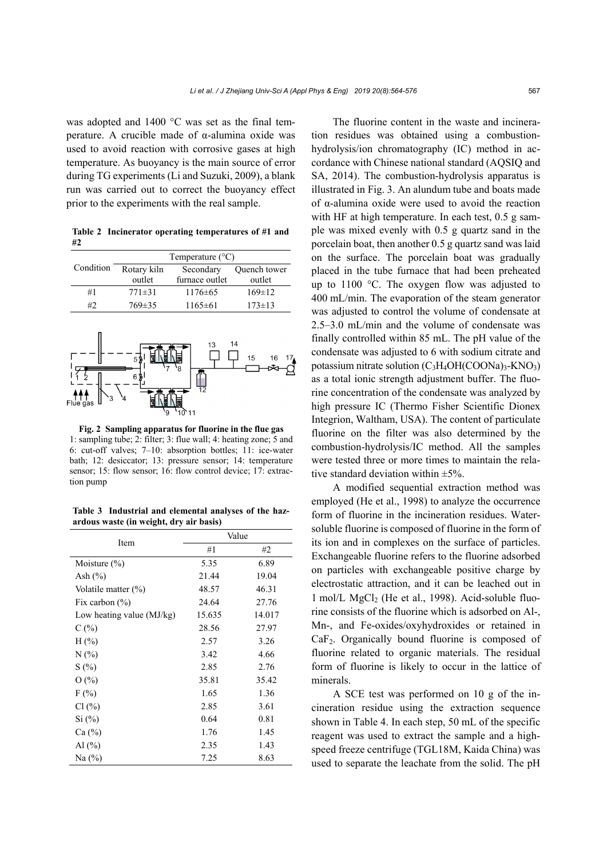was adopted and 1400 °C was set as the final temperature. A crucible made of α-alumina oxide was used to avoid reaction with corrosive gases at high temperature. As buoyancy is the main source of error during TG experiments (Li and Suzuki, 2009), a blank run was carried out to correct the buoyancy effect prior to the experiments with the real sample.

**Table 2 Incinerator operating temperatures of #1 and #2** 



**Fig. 2 Sampling apparatus for fluorine in the flue gas**  1: sampling tube; 2: filter; 3: flue wall; 4: heating zone; 5 and 6: cut-off valves; 7–10: absorption bottles; 11: ice-water bath; 12: desiccator; 13: pressure sensor; 14: temperature sensor; 15: flow sensor; 16: flow control device; 17: extraction pump

**Table 3 Industrial and elemental analyses of the hazardous waste (in weight, dry air basis)** 

|                             | Value  |        |  |
|-----------------------------|--------|--------|--|
| Item                        | #1     | #2     |  |
| Moisture $(\% )$            | 5.35   | 6.89   |  |
| Ash $(\% )$                 | 21.44  | 19.04  |  |
| Volatile matter $(\%)$      | 48.57  | 46.31  |  |
| Fix carbon $(\% )$          | 24.64  | 27.76  |  |
| Low heating value $(MJ/kg)$ | 15.635 | 14.017 |  |
| C(%)                        | 28.56  | 27.97  |  |
| $H(\% )$                    | 2.57   | 3.26   |  |
| N(%                         | 3.42   | 4.66   |  |
| S(%)                        | 2.85   | 2.76   |  |
| O(%)                        | 35.81  | 35.42  |  |
| $F(\%)$                     | 1.65   | 1.36   |  |
| $Cl($ % $)$                 | 2.85   | 3.61   |  |
| Si (%)                      | 0.64   | 0.81   |  |
| Ca (%)                      | 1.76   | 1.45   |  |
| Al $(\%$                    | 2.35   | 1.43   |  |
| Na $(\%)$                   | 7.25   | 8.63   |  |

The fluorine content in the waste and incineration residues was obtained using a combustionhydrolysis/ion chromatography (IC) method in accordance with Chinese national standard (AQSIQ and SA, 2014). The combustion-hydrolysis apparatus is illustrated in Fig. 3. An alundum tube and boats made of α-alumina oxide were used to avoid the reaction with HF at high temperature. In each test, 0.5 g sample was mixed evenly with 0.5 g quartz sand in the porcelain boat, then another 0.5 g quartz sand was laid on the surface. The porcelain boat was gradually placed in the tube furnace that had been preheated up to 1100 °C. The oxygen flow was adjusted to 400 mL/min. The evaporation of the steam generator was adjusted to control the volume of condensate at 2.5–3.0 mL/min and the volume of condensate was finally controlled within 85 mL. The pH value of the condensate was adjusted to 6 with sodium citrate and potassium nitrate solution  $(C_3H_4OH(COONa)_3-KNO_3)$ as a total ionic strength adjustment buffer. The fluorine concentration of the condensate was analyzed by high pressure IC (Thermo Fisher Scientific Dionex Integrion, Waltham, USA). The content of particulate fluorine on the filter was also determined by the combustion-hydrolysis/IC method. All the samples were tested three or more times to maintain the relative standard deviation within  $\pm 5\%$ .

A modified sequential extraction method was employed (He et al., 1998) to analyze the occurrence form of fluorine in the incineration residues. Watersoluble fluorine is composed of fluorine in the form of its ion and in complexes on the surface of particles. Exchangeable fluorine refers to the fluorine adsorbed on particles with exchangeable positive charge by electrostatic attraction, and it can be leached out in 1 mol/L MgCl<sub>2</sub> (He et al., 1998). Acid-soluble fluorine consists of the fluorine which is adsorbed on Al-, Mn-, and Fe-oxides/oxyhydroxides or retained in CaF2. Organically bound fluorine is composed of fluorine related to organic materials. The residual form of fluorine is likely to occur in the lattice of minerals.

A SCE test was performed on 10 g of the incineration residue using the extraction sequence shown in Table 4. In each step, 50 mL of the specific reagent was used to extract the sample and a highspeed freeze centrifuge (TGL18M, Kaida China) was used to separate the leachate from the solid. The pH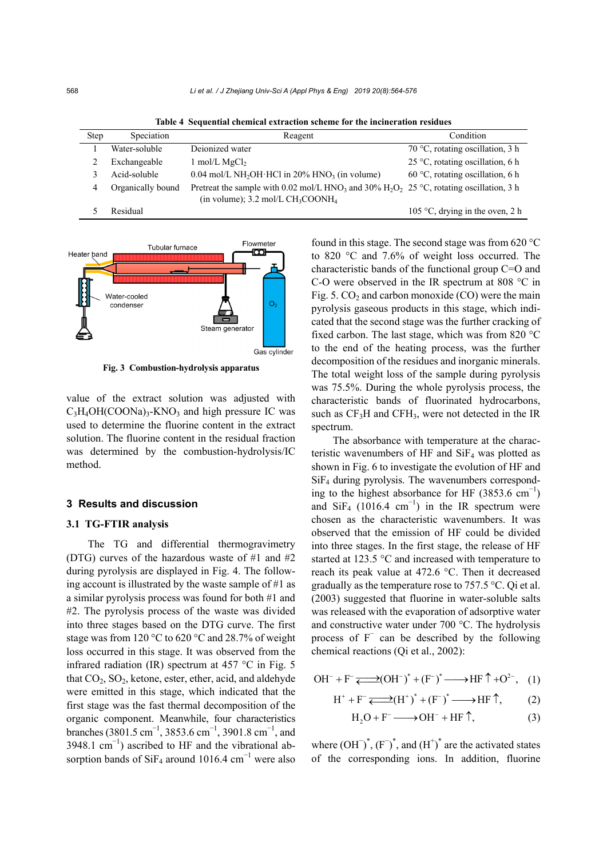| <b>Step</b> | Speciation        | Reagent                                                                                                                                                                            | Condition                                 |
|-------------|-------------------|------------------------------------------------------------------------------------------------------------------------------------------------------------------------------------|-------------------------------------------|
|             | Water-soluble     | Deionized water                                                                                                                                                                    | 70 °C, rotating oscillation, 3 h          |
|             | Exchangeable      | $1 \text{ mol/L MgCl}_2$                                                                                                                                                           | 25 °C, rotating oscillation, 6 h          |
|             | Acid-soluble      | $0.04$ mol/L NH <sub>2</sub> OH HCl in 20% HNO <sub>3</sub> (in volume)                                                                                                            | $60^{\circ}$ C, rotating oscillation, 6 h |
| 4           | Organically bound | Pretreat the sample with 0.02 mol/L HNO <sub>3</sub> and 30% H <sub>2</sub> O <sub>2</sub> 25 °C, rotating oscillation, 3 h<br>(in volume); $3.2 \text{ mol/L CH}_3\text{COONH}_4$ |                                           |
|             | Residual          |                                                                                                                                                                                    | 105 °C, drying in the oven, 2 h           |

**Table 4 Sequential chemical extraction scheme for the incineration residues** 



**Fig. 3 Combustion-hydrolysis apparatus** 

value of the extract solution was adjusted with  $C_3H_4OH(COONa)$ <sub>3</sub>-KNO<sub>3</sub> and high pressure IC was used to determine the fluorine content in the extract solution. The fluorine content in the residual fraction was determined by the combustion-hydrolysis/IC method.

## **3 Results and discussion**

#### **3.1 TG-FTIR analysis**

The TG and differential thermogravimetry (DTG) curves of the hazardous waste of #1 and #2 during pyrolysis are displayed in Fig. 4. The following account is illustrated by the waste sample of #1 as a similar pyrolysis process was found for both #1 and #2. The pyrolysis process of the waste was divided into three stages based on the DTG curve. The first stage was from 120 °C to 620 °C and 28.7% of weight loss occurred in this stage. It was observed from the infrared radiation (IR) spectrum at 457 °C in Fig. 5 that  $CO<sub>2</sub>$ ,  $SO<sub>2</sub>$ , ketone, ester, ether, acid, and aldehyde were emitted in this stage, which indicated that the first stage was the fast thermal decomposition of the organic component. Meanwhile, four characteristics branches (3801.5 cm<sup>-1</sup>, 3853.6 cm<sup>-1</sup>, 3901.8 cm<sup>-1</sup>, and 3948.1  $\text{cm}^{-1}$ ) ascribed to HF and the vibrational absorption bands of SiF<sub>4</sub> around 1016.4 cm<sup>-1</sup> were also found in this stage. The second stage was from 620 °C to 820 °C and 7.6% of weight loss occurred. The characteristic bands of the functional group C=O and C-O were observed in the IR spectrum at 808 °C in Fig. 5.  $CO<sub>2</sub>$  and carbon monoxide (CO) were the main pyrolysis gaseous products in this stage, which indicated that the second stage was the further cracking of fixed carbon. The last stage, which was from 820 °C to the end of the heating process, was the further decomposition of the residues and inorganic minerals. The total weight loss of the sample during pyrolysis was 75.5%. During the whole pyrolysis process, the characteristic bands of fluorinated hydrocarbons, such as  $CF_3H$  and  $CFH_3$ , were not detected in the IR spectrum.

The absorbance with temperature at the characteristic wavenumbers of HF and  $SiF<sub>4</sub>$  was plotted as shown in Fig. 6 to investigate the evolution of HF and SiF4 during pyrolysis. The wavenumbers corresponding to the highest absorbance for HF  $(3853.6 \text{ cm}^{-1})$ and SiF<sub>4</sub> (1016.4 cm<sup>-1</sup>) in the IR spectrum were chosen as the characteristic wavenumbers. It was observed that the emission of HF could be divided into three stages. In the first stage, the release of HF started at 123.5 °C and increased with temperature to reach its peak value at 472.6 °C. Then it decreased gradually as the temperature rose to 757.5 °C. Qi et al. (2003) suggested that fluorine in water-soluble salts was released with the evaporation of adsorptive water and constructive water under 700 °C. The hydrolysis process of F<sup>−</sup> can be described by the following chemical reactions (Qi et al., 2002):

$$
\text{OH}^- + \text{F}^- \xrightarrow{\longrightarrow} (\text{OH}^-)^* + (\text{F}^-)^* \xrightarrow{\longrightarrow} \text{HF} \uparrow + \text{O}^{2-}, \quad (1)
$$

$$
H^+ + F^- \xrightarrow{\longrightarrow} (H^+)^* + (F^-)^* \xrightarrow{\longrightarrow} HF \uparrow, \tag{2}
$$

$$
H_2O + F^- \longrightarrow OH^- + HF \uparrow,
$$
 (3)

where  $(OH^-)^*$ ,  $(F^-)^*$ , and  $(H^+)^*$  are the activated states of the corresponding ions. In addition, fluorine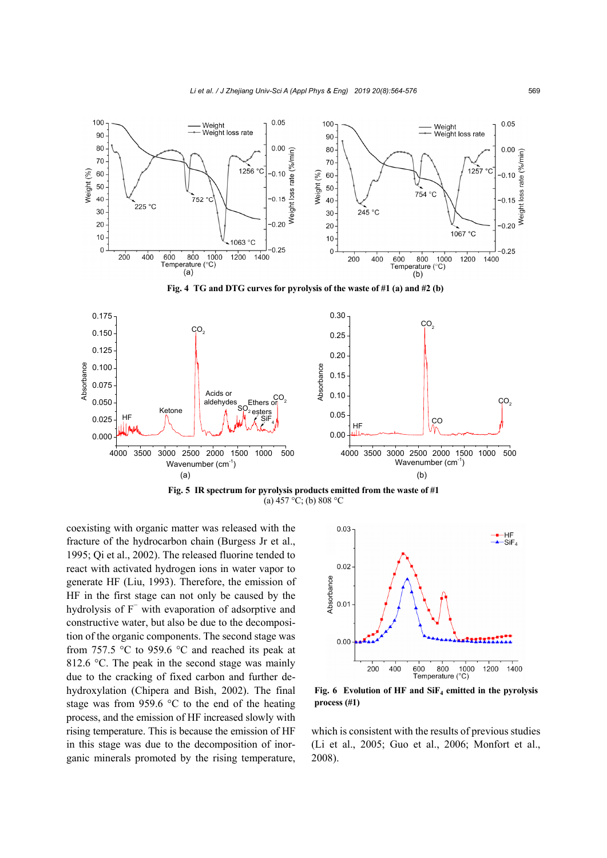

(a)  $457 \, \degree C$ ; (b) 808  $\degree C$ 

coexisting with organic matter was released with the fracture of the hydrocarbon chain (Burgess Jr et al., 1995; Qi et al., 2002). The released fluorine tended to react with activated hydrogen ions in water vapor to generate HF (Liu, 1993). Therefore, the emission of HF in the first stage can not only be caused by the hydrolysis of F<sup>−</sup> with evaporation of adsorptive and constructive water, but also be due to the decomposition of the organic components. The second stage was from 757.5 °C to 959.6 °C and reached its peak at 812.6 °C. The peak in the second stage was mainly due to the cracking of fixed carbon and further dehydroxylation (Chipera and Bish, 2002). The final stage was from 959.6 °C to the end of the heating process, and the emission of HF increased slowly with rising temperature. This is because the emission of HF in this stage was due to the decomposition of inorganic minerals promoted by the rising temperature,



**Fig. 6 Evolution of HF and SiF4 emitted in the pyrolysis** 

which is consistent with the results of previous studies (Li et al., 2005; Guo et al., 2006; Monfort et al., 2008).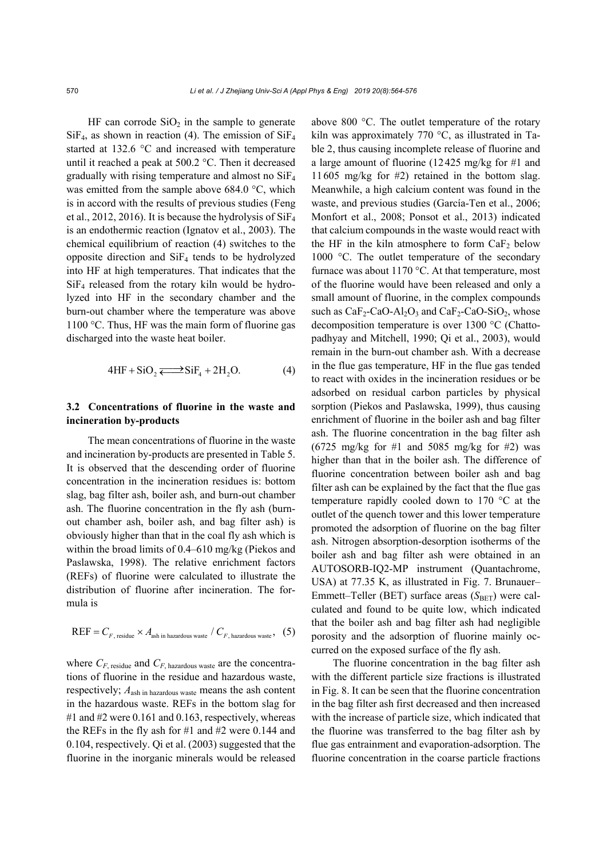HF can corrode  $SiO<sub>2</sub>$  in the sample to generate  $SiF<sub>4</sub>$ , as shown in reaction (4). The emission of  $SiF<sub>4</sub>$ started at 132.6 °C and increased with temperature until it reached a peak at 500.2 °C. Then it decreased gradually with rising temperature and almost no SiF4 was emitted from the sample above 684.0 °C, which is in accord with the results of previous studies (Feng et al., 2012, 2016). It is because the hydrolysis of  $SiF<sub>4</sub>$ is an endothermic reaction (Ignatov et al., 2003). The chemical equilibrium of reaction (4) switches to the opposite direction and  $\text{SiF}_4$  tends to be hydrolyzed into HF at high temperatures. That indicates that the  $SiF<sub>4</sub>$  released from the rotary kiln would be hydrolyzed into HF in the secondary chamber and the burn-out chamber where the temperature was above 1100 °C. Thus, HF was the main form of fluorine gas discharged into the waste heat boiler.

$$
4HF + SiO2 \longrightarrow SiF4 + 2H2O.
$$
 (4)

## **3.2 Concentrations of fluorine in the waste and incineration by-products**

The mean concentrations of fluorine in the waste and incineration by-products are presented in Table 5. It is observed that the descending order of fluorine concentration in the incineration residues is: bottom slag, bag filter ash, boiler ash, and burn-out chamber ash. The fluorine concentration in the fly ash (burnout chamber ash, boiler ash, and bag filter ash) is obviously higher than that in the coal fly ash which is within the broad limits of 0.4–610 mg/kg (Piekos and Paslawska, 1998). The relative enrichment factors (REFs) of fluorine were calculated to illustrate the distribution of fluorine after incineration. The formula is

$$
REF = C_{F, \text{ residue}} \times A_{\text{ash in hazardous waste}} / C_{F, \text{ hazardous waste}}, (5)
$$

where  $C_F$ , residue and  $C_F$ , hazardous waste are the concentrations of fluorine in the residue and hazardous waste, respectively; *A*ash in hazardous waste means the ash content in the hazardous waste. REFs in the bottom slag for #1 and #2 were  $0.161$  and  $0.163$ , respectively, whereas the REFs in the fly ash for #1 and #2 were 0.144 and 0.104, respectively. Qi et al. (2003) suggested that the fluorine in the inorganic minerals would be released above 800 °C. The outlet temperature of the rotary kiln was approximately 770 °C, as illustrated in Table 2, thus causing incomplete release of fluorine and a large amount of fluorine (12425 mg/kg for #1 and 11605 mg/kg for #2) retained in the bottom slag. Meanwhile, a high calcium content was found in the waste, and previous studies (García-Ten et al., 2006; Monfort et al., 2008; Ponsot et al., 2013) indicated that calcium compounds in the waste would react with the HF in the kiln atmosphere to form  $CaF<sub>2</sub>$  below 1000 °C. The outlet temperature of the secondary furnace was about 1170 °C. At that temperature, most of the fluorine would have been released and only a small amount of fluorine, in the complex compounds such as  $CaF_2$ -CaO-Al<sub>2</sub>O<sub>3</sub> and CaF<sub>2</sub>-CaO-SiO<sub>2</sub>, whose decomposition temperature is over 1300 °C (Chattopadhyay and Mitchell, 1990; Qi et al., 2003), would remain in the burn-out chamber ash. With a decrease in the flue gas temperature, HF in the flue gas tended to react with oxides in the incineration residues or be adsorbed on residual carbon particles by physical sorption (Piekos and Paslawska, 1999), thus causing enrichment of fluorine in the boiler ash and bag filter ash. The fluorine concentration in the bag filter ash (6725 mg/kg for #1 and 5085 mg/kg for #2) was higher than that in the boiler ash. The difference of fluorine concentration between boiler ash and bag filter ash can be explained by the fact that the flue gas temperature rapidly cooled down to 170 °C at the outlet of the quench tower and this lower temperature promoted the adsorption of fluorine on the bag filter ash. Nitrogen absorption-desorption isotherms of the boiler ash and bag filter ash were obtained in an AUTOSORB-IQ2-MP instrument (Quantachrome, USA) at 77.35 K, as illustrated in Fig. 7. Brunauer– Emmett–Teller (BET) surface areas (S<sub>BET</sub>) were calculated and found to be quite low, which indicated that the boiler ash and bag filter ash had negligible porosity and the adsorption of fluorine mainly occurred on the exposed surface of the fly ash.

The fluorine concentration in the bag filter ash with the different particle size fractions is illustrated in Fig. 8. It can be seen that the fluorine concentration in the bag filter ash first decreased and then increased with the increase of particle size, which indicated that the fluorine was transferred to the bag filter ash by flue gas entrainment and evaporation-adsorption. The fluorine concentration in the coarse particle fractions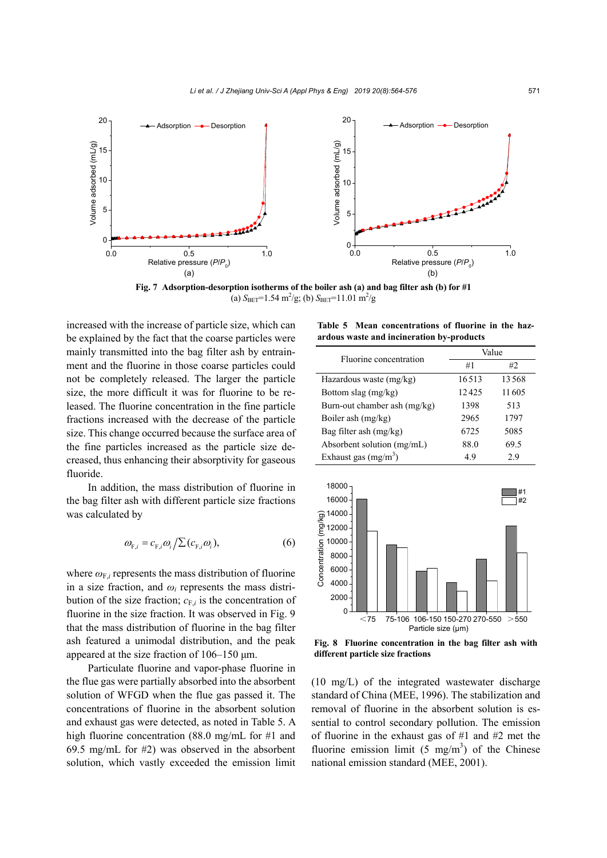

**Fig. 7 Adsorption-desorption isotherms of the boiler ash (a) and bag filter ash (b) for #1**  (a)  $S_{\text{BET}}$ =1.54 m<sup>2</sup>/g; (b)  $S_{\text{BET}}$ =11.01 m<sup>2</sup>/g

increased with the increase of particle size, which can be explained by the fact that the coarse particles were mainly transmitted into the bag filter ash by entrainment and the fluorine in those coarse particles could not be completely released. The larger the particle size, the more difficult it was for fluorine to be released. The fluorine concentration in the fine particle fractions increased with the decrease of the particle size. This change occurred because the surface area of the fine particles increased as the particle size decreased, thus enhancing their absorptivity for gaseous fluoride.

In addition, the mass distribution of fluorine in the bag filter ash with different particle size fractions was calculated by

$$
\omega_{F,i} = c_{F,i}\omega_i/\sum (c_{F,i}\omega_i), \qquad (6)
$$

where  $\omega_{F,i}$  represents the mass distribution of fluorine in a size fraction, and  $\omega_i$  represents the mass distribution of the size fraction;  $c_{F,i}$  is the concentration of fluorine in the size fraction. It was observed in Fig. 9 that the mass distribution of fluorine in the bag filter ash featured a unimodal distribution, and the peak appeared at the size fraction of 106–150 μm.

Particulate fluorine and vapor-phase fluorine in the flue gas were partially absorbed into the absorbent solution of WFGD when the flue gas passed it. The concentrations of fluorine in the absorbent solution and exhaust gas were detected, as noted in Table 5. A high fluorine concentration (88.0 mg/mL for #1 and 69.5 mg/mL for #2) was observed in the absorbent solution, which vastly exceeded the emission limit

**Table 5 Mean concentrations of fluorine in the hazardous waste and incineration by-products** 

| Fluorine concentration       | Value |       |  |  |
|------------------------------|-------|-------|--|--|
|                              | #1    | #2.   |  |  |
| Hazardous waste (mg/kg)      | 16513 | 13568 |  |  |
| Bottom slag (mg/kg)          | 12425 | 11605 |  |  |
| Burn-out chamber ash (mg/kg) | 1398  | 513   |  |  |
| Boiler ash (mg/kg)           | 2965  | 1797  |  |  |
| Bag filter ash $(mg/kg)$     | 6725  | 5085  |  |  |
| Absorbent solution (mg/mL)   | 88.0  | 69.5  |  |  |
| Exhaust gas $(mg/m3)$        | 49    | 29    |  |  |



**Fig. 8 Fluorine concentration in the bag filter ash with different particle size fractions**

(10 mg/L) of the integrated wastewater discharge standard of China (MEE, 1996). The stabilization and removal of fluorine in the absorbent solution is essential to control secondary pollution. The emission of fluorine in the exhaust gas of #1 and #2 met the fluorine emission limit  $(5 \text{ mg/m}^3)$  of the Chinese national emission standard (MEE, 2001).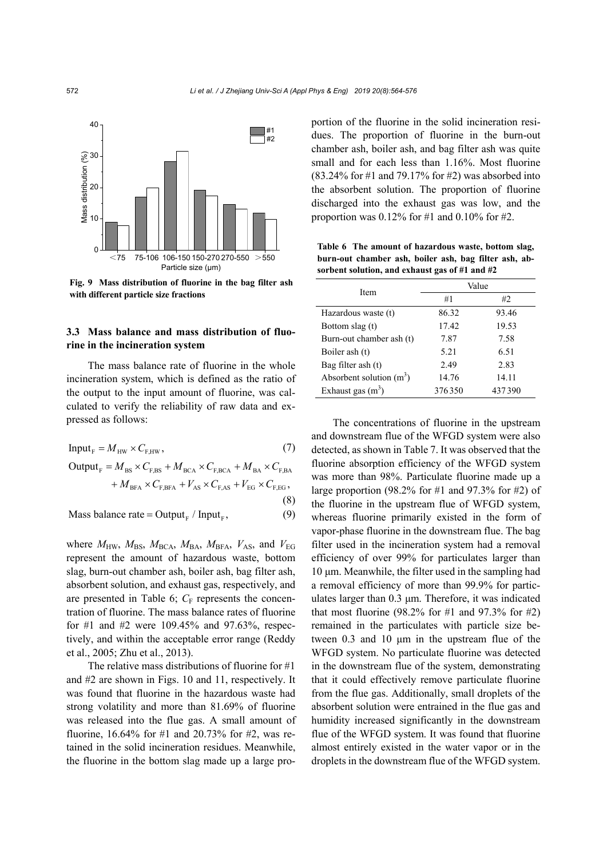

**Fig. 9 Mass distribution of fluorine in the bag filter ash with different particle size fractions**

## **3.3 Mass balance and mass distribution of fluorine in the incineration system**

The mass balance rate of fluorine in the whole incineration system, which is defined as the ratio of the output to the input amount of fluorine, was calculated to verify the reliability of raw data and expressed as follows:

Input<sub>F</sub> = 
$$
M_{HW} \times C_{F,HW}
$$
, (7)  
\nOutput<sub>F</sub> =  $M_{BS} \times C_{F,BS} + M_{BCA} \times C_{F,BCA} + M_{BA} \times C_{F,BA} + M_{BFA} \times C_{F,BFA} + V_{AS} \times C_{F,AS} + V_{EG} \times C_{F,EG}$ , (8)

Mass balance rate =  $\text{Output}_{F}$  / Input<sub> $F$ </sub>, (9)

where  $M_{\text{HW}}$ ,  $M_{\text{BS}}$ ,  $M_{\text{BCA}}$ ,  $M_{\text{BA}}$ ,  $M_{\text{BFA}}$ ,  $V_{\text{AS}}$ , and  $V_{\text{EG}}$ represent the amount of hazardous waste, bottom slag, burn-out chamber ash, boiler ash, bag filter ash, absorbent solution, and exhaust gas, respectively, and are presented in Table 6;  $C_F$  represents the concentration of fluorine. The mass balance rates of fluorine for #1 and #2 were 109.45% and 97.63%, respectively, and within the acceptable error range (Reddy et al., 2005; Zhu et al., 2013).

The relative mass distributions of fluorine for #1 and #2 are shown in Figs. 10 and 11, respectively. It was found that fluorine in the hazardous waste had strong volatility and more than 81.69% of fluorine was released into the flue gas. A small amount of fluorine, 16.64% for #1 and 20.73% for #2, was retained in the solid incineration residues. Meanwhile, the fluorine in the bottom slag made up a large proportion of the fluorine in the solid incineration residues. The proportion of fluorine in the burn-out chamber ash, boiler ash, and bag filter ash was quite small and for each less than 1.16%. Most fluorine (83.24% for #1 and 79.17% for #2) was absorbed into the absorbent solution. The proportion of fluorine discharged into the exhaust gas was low, and the proportion was  $0.12\%$  for #1 and  $0.10\%$  for #2.

**Table 6 The amount of hazardous waste, bottom slag, burn-out chamber ash, boiler ash, bag filter ash, absorbent solution, and exhaust gas of #1 and #2** 

| Item                       | Value  |        |  |  |
|----------------------------|--------|--------|--|--|
|                            | #1     | #2     |  |  |
| Hazardous waste (t)        | 86.32  | 93.46  |  |  |
| Bottom slag (t)            | 17.42  | 19.53  |  |  |
| Burn-out chamber ash (t)   | 7.87   | 7.58   |  |  |
| Boiler ash (t)             | 5.21   | 6.51   |  |  |
| Bag filter ash (t)         | 2.49   | 2.83   |  |  |
| Absorbent solution $(m^3)$ | 14.76  | 14.11  |  |  |
| Exhaust gas $(m^3)$        | 376350 | 437390 |  |  |

The concentrations of fluorine in the upstream and downstream flue of the WFGD system were also detected, as shown in Table 7. It was observed that the fluorine absorption efficiency of the WFGD system was more than 98%. Particulate fluorine made up a large proportion (98.2% for #1 and 97.3% for #2) of the fluorine in the upstream flue of WFGD system, whereas fluorine primarily existed in the form of vapor-phase fluorine in the downstream flue. The bag filter used in the incineration system had a removal efficiency of over 99% for particulates larger than 10 μm. Meanwhile, the filter used in the sampling had a removal efficiency of more than 99.9% for particulates larger than 0.3 μm. Therefore, it was indicated that most fluorine (98.2% for #1 and 97.3% for #2) remained in the particulates with particle size between 0.3 and 10 μm in the upstream flue of the WFGD system. No particulate fluorine was detected in the downstream flue of the system, demonstrating that it could effectively remove particulate fluorine from the flue gas. Additionally, small droplets of the absorbent solution were entrained in the flue gas and humidity increased significantly in the downstream flue of the WFGD system. It was found that fluorine almost entirely existed in the water vapor or in the droplets in the downstream flue of the WFGD system.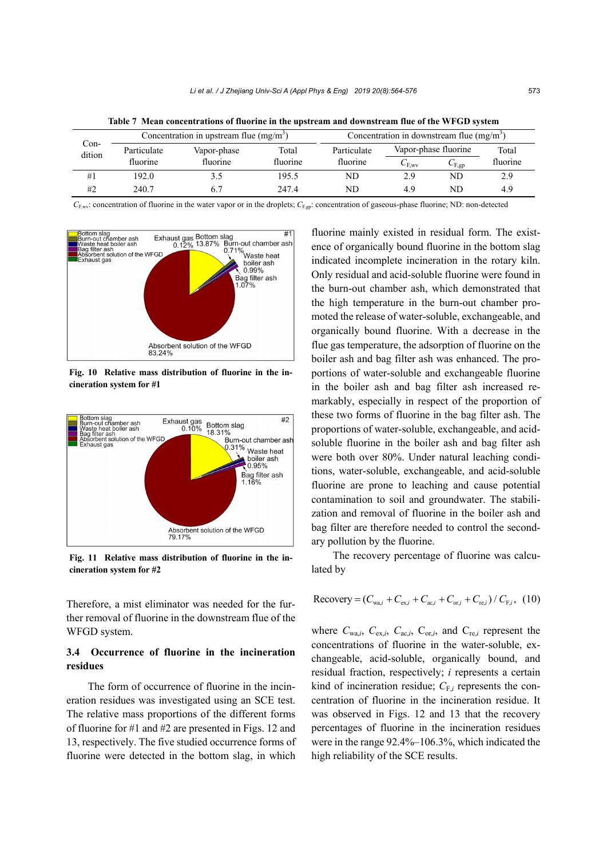| Con-<br>dition | Concentration in upstream flue $(mg/m3)$ |             | Concentration in downstream flue $(mg/m3)$ |                                     |               |                     |          |
|----------------|------------------------------------------|-------------|--------------------------------------------|-------------------------------------|---------------|---------------------|----------|
|                | Particulate                              | Vapor-phase | Total                                      | Vapor-phase fluorine<br>Particulate |               | Total               |          |
|                | fluorine                                 | fluorine    | fluorine                                   | fluorine                            | $C_{\rm FWV}$ | $C_{\mathrm{F,ep}}$ | fluorine |
| #1             | 192.0                                    |             | 195.5                                      | ND                                  | 2.9           | ND                  | 2.9      |
| #2             | 240.7                                    |             | 247.4                                      | ND                                  | 4.9           | ND                  | 4.9      |

**Table 7 Mean concentrations of fluorine in the upstream and downstream flue of the WFGD system** 

*C*<sub>F,wv</sub>: concentration of fluorine in the water vapor or in the droplets; *C*<sub>F,gp</sub>: concentration of gaseous-phase fluorine; ND: non-detected



**Fig. 10 Relative mass distribution of fluorine in the incineration system for #1**



**Fig. 11 Relative mass distribution of fluorine in the incineration system for #2**

Therefore, a mist eliminator was needed for the further removal of fluorine in the downstream flue of the WFGD system.

## **3.4 Occurrence of fluorine in the incineration residues**

The form of occurrence of fluorine in the incineration residues was investigated using an SCE test. The relative mass proportions of the different forms of fluorine for #1 and #2 are presented in Figs. 12 and 13, respectively. The five studied occurrence forms of fluorine were detected in the bottom slag, in which

fluorine mainly existed in residual form. The existence of organically bound fluorine in the bottom slag indicated incomplete incineration in the rotary kiln. Only residual and acid-soluble fluorine were found in the burn-out chamber ash, which demonstrated that the high temperature in the burn-out chamber promoted the release of water-soluble, exchangeable, and organically bound fluorine. With a decrease in the flue gas temperature, the adsorption of fluorine on the boiler ash and bag filter ash was enhanced. The proportions of water-soluble and exchangeable fluorine in the boiler ash and bag filter ash increased remarkably, especially in respect of the proportion of these two forms of fluorine in the bag filter ash. The proportions of water-soluble, exchangeable, and acidsoluble fluorine in the boiler ash and bag filter ash were both over 80%. Under natural leaching conditions, water-soluble, exchangeable, and acid-soluble fluorine are prone to leaching and cause potential contamination to soil and groundwater. The stabilization and removal of fluorine in the boiler ash and bag filter are therefore needed to control the secondary pollution by the fluorine.

The recovery percentage of fluorine was calculated by

Recovery = 
$$
(C_{wa,i} + C_{ex,i} + C_{ac,i} + C_{or,i} + C_{re,i}) / C_{F,i}
$$
, (10)

where  $C_{wa,i}$ ,  $C_{ex,i}$ ,  $C_{ac,i}$ ,  $C_{or,i}$ , and  $C_{re,i}$  represent the concentrations of fluorine in the water-soluble, exchangeable, acid-soluble, organically bound, and residual fraction, respectively; *i* represents a certain kind of incineration residue;  $C_{F,i}$  represents the concentration of fluorine in the incineration residue. It was observed in Figs. 12 and 13 that the recovery percentages of fluorine in the incineration residues were in the range 92.4%–106.3%, which indicated the high reliability of the SCE results.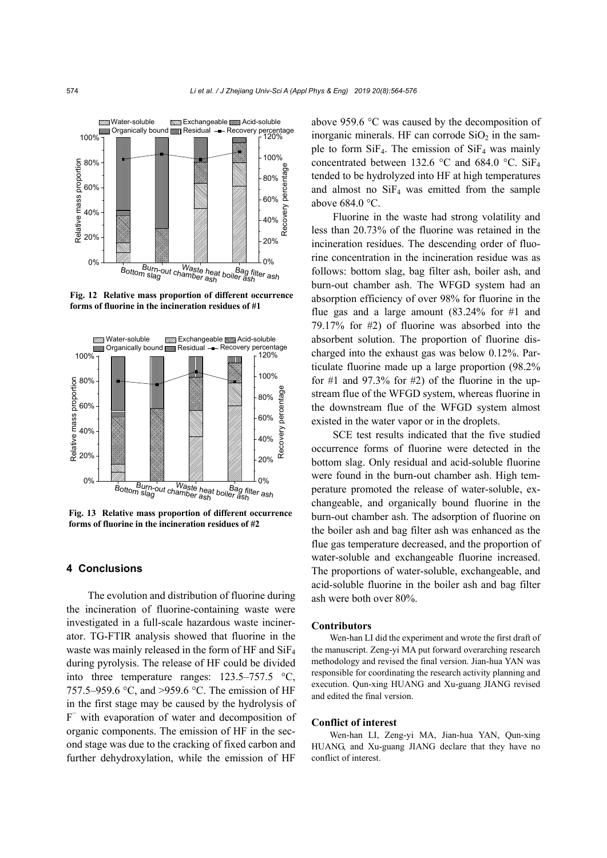

**Fig. 12 Relative mass proportion of different occurrence forms of fluorine in the incineration residues of #1**



**Fig. 13 Relative mass proportion of different occurrence forms of fluorine in the incineration residues of #2**

## **4 Conclusions**

The evolution and distribution of fluorine during the incineration of fluorine-containing waste were investigated in a full-scale hazardous waste incinerator. TG-FTIR analysis showed that fluorine in the waste was mainly released in the form of HF and SiF4 during pyrolysis. The release of HF could be divided into three temperature ranges: 123.5–757.5 °C, 757.5–959.6 °C, and >959.6 °C. The emission of HF in the first stage may be caused by the hydrolysis of F− with evaporation of water and decomposition of organic components. The emission of HF in the second stage was due to the cracking of fixed carbon and further dehydroxylation, while the emission of HF

above 959.6 °C was caused by the decomposition of inorganic minerals. HF can corrode  $SiO<sub>2</sub>$  in the sample to form  $SiF<sub>4</sub>$ . The emission of  $SiF<sub>4</sub>$  was mainly concentrated between 132.6 °C and 684.0 °C. Si $F_4$ tended to be hydrolyzed into HF at high temperatures and almost no  $SiF<sub>4</sub>$  was emitted from the sample above 684.0 °C.

Fluorine in the waste had strong volatility and less than 20.73% of the fluorine was retained in the incineration residues. The descending order of fluorine concentration in the incineration residue was as follows: bottom slag, bag filter ash, boiler ash, and burn-out chamber ash. The WFGD system had an absorption efficiency of over 98% for fluorine in the flue gas and a large amount (83.24% for #1 and 79.17% for #2) of fluorine was absorbed into the absorbent solution. The proportion of fluorine discharged into the exhaust gas was below 0.12%. Particulate fluorine made up a large proportion (98.2% for #1 and  $97.3\%$  for #2) of the fluorine in the upstream flue of the WFGD system, whereas fluorine in the downstream flue of the WFGD system almost existed in the water vapor or in the droplets.

SCE test results indicated that the five studied occurrence forms of fluorine were detected in the bottom slag. Only residual and acid-soluble fluorine were found in the burn-out chamber ash. High temperature promoted the release of water-soluble, exchangeable, and organically bound fluorine in the burn-out chamber ash. The adsorption of fluorine on the boiler ash and bag filter ash was enhanced as the flue gas temperature decreased, and the proportion of water-soluble and exchangeable fluorine increased. The proportions of water-soluble, exchangeable, and acid-soluble fluorine in the boiler ash and bag filter ash were both over 80%.

## **Contributors**

Wen-han LI did the experiment and wrote the first draft of the manuscript. Zeng-yi MA put forward overarching research methodology and revised the final version. Jian-hua YAN was responsible for coordinating the research activity planning and execution. Qun-xing HUANG and Xu-guang JIANG revised and edited the final version.

## **Conflict of interest**

Wen-han LI, Zeng-yi MA, Jian-hua YAN, Qun-xing HUANG, and Xu-guang JIANG declare that they have no conflict of interest.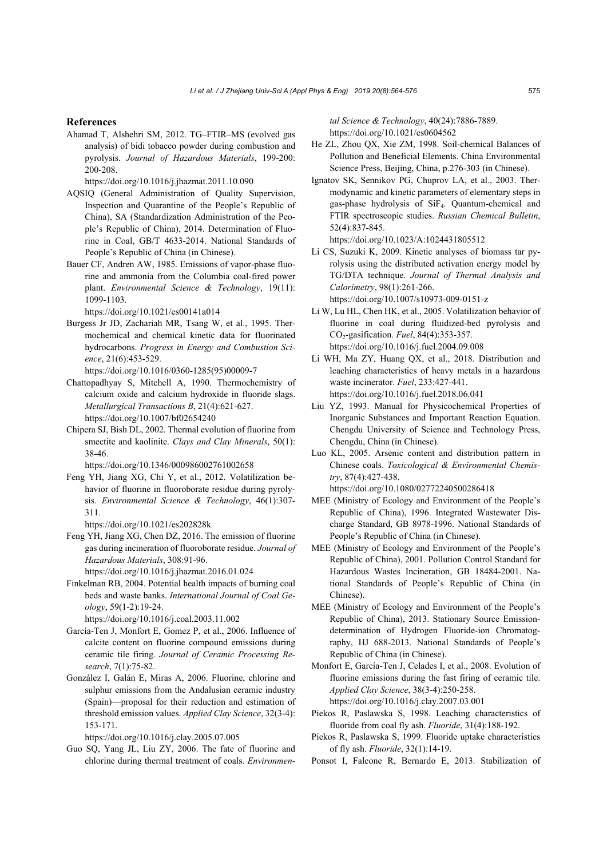#### **References**

Ahamad T, Alshehri SM, 2012. TG–FTIR–MS (evolved gas analysis) of bidi tobacco powder during combustion and pyrolysis. *Journal of Hazardous Materials*, 199-200: 200-208.

https://doi.org/10.1016/j.jhazmat.2011.10.090

- AQSIQ (General Administration of Quality Supervision, Inspection and Quarantine of the People's Republic of China), SA (Standardization Administration of the People's Republic of China), 2014. Determination of Fluorine in Coal, GB/T 4633-2014. National Standards of People's Republic of China (in Chinese).
- Bauer CF, Andren AW, 1985. Emissions of vapor-phase fluorine and ammonia from the Columbia coal-fired power plant. *Environmental Science & Technology*, 19(11): 1099-1103.

https://doi.org/10.1021/es00141a014

- Burgess Jr JD, Zachariah MR, Tsang W, et al., 1995. Thermochemical and chemical kinetic data for fluorinated hydrocarbons. *Progress in Energy and Combustion Science*, 21(6):453-529.
	- https://doi.org/10.1016/0360-1285(95)00009-7
- Chattopadhyay S, Mitchell A, 1990. Thermochemistry of calcium oxide and calcium hydroxide in fluoride slags. *Metallurgical Transactions B*, 21(4):621-627. https://doi.org/10.1007/bf02654240
- Chipera SJ, Bish DL, 2002. Thermal evolution of fluorine from smectite and kaolinite. *Clays and Clay Minerals*, 50(1): 38-46.

https://doi.org/10.1346/000986002761002658

- Feng YH, Jiang XG, Chi Y, et al., 2012. Volatilization behavior of fluorine in fluoroborate residue during pyrolysis. *Environmental Science & Technology*, 46(1):307- 311.
	- https://doi.org/10.1021/es202828k
- Feng YH, Jiang XG, Chen DZ, 2016. The emission of fluorine gas during incineration of fluoroborate residue. *Journal of Hazardous Materials*, 308:91-96.

https://doi.org/10.1016/j.jhazmat.2016.01.024

Finkelman RB, 2004. Potential health impacts of burning coal beds and waste banks. *International Journal of Coal Geology*, 59(1-2):19-24.

https://doi.org/10.1016/j.coal.2003.11.002

- García-Ten J, Monfort E, Gomez P, et al., 2006. Influence of calcite content on fluorine compound emissions during ceramic tile firing. *Journal of Ceramic Processing Research*, 7(1):75-82.
- González I, Galán E, Miras A, 2006. Fluorine, chlorine and sulphur emissions from the Andalusian ceramic industry (Spain)—proposal for their reduction and estimation of threshold emission values. *Applied Clay Science*, 32(3-4): 153-171.

https://doi.org/10.1016/j.clay.2005.07.005

Guo SQ, Yang JL, Liu ZY, 2006. The fate of fluorine and chlorine during thermal treatment of coals. *Environmen-* *tal Science & Technology*, 40(24):7886-7889. https://doi.org/10.1021/es0604562

- He ZL, Zhou QX, Xie ZM, 1998. Soil-chemical Balances of Pollution and Beneficial Elements. China Environmental Science Press, Beijing, China, p.276-303 (in Chinese).
- Ignatov SK, Sennikov PG, Chuprov LA, et al., 2003. Thermodynamic and kinetic parameters of elementary steps in gas-phase hydrolysis of SiF4. Quantum-chemical and FTIR spectroscopic studies. *Russian Chemical Bulletin*, 52(4):837-845. https://doi.org/10.1023/A:1024431805512
- Li CS, Suzuki K, 2009. Kinetic analyses of biomass tar pyrolysis using the distributed activation energy model by TG/DTA technique. *Journal of Thermal Analysis and Calorimetry*, 98(1):261-266. https://doi.org/10.1007/s10973-009-0151-z

- Li W, Lu HL, Chen HK, et al., 2005. Volatilization behavior of fluorine in coal during fluidized-bed pyrolysis and CO2-gasification. *Fuel*, 84(4):353-357. https://doi.org/10.1016/j.fuel.2004.09.008
- Li WH, Ma ZY, Huang QX, et al., 2018. Distribution and leaching characteristics of heavy metals in a hazardous waste incinerator. *Fuel*, 233:427-441. https://doi.org/10.1016/j.fuel.2018.06.041
- Liu YZ, 1993. Manual for Physicochemical Properties of Inorganic Substances and Important Reaction Equation. Chengdu University of Science and Technology Press, Chengdu, China (in Chinese).
- Luo KL, 2005. Arsenic content and distribution pattern in Chinese coals. *Toxicological & Environmental Chemistry*, 87(4):427-438.

https://doi.org/10.1080/02772240500286418

- MEE (Ministry of Ecology and Environment of the People's Republic of China), 1996. Integrated Wastewater Discharge Standard, GB 8978-1996. National Standards of People's Republic of China (in Chinese).
- MEE (Ministry of Ecology and Environment of the People's Republic of China), 2001. Pollution Control Standard for Hazardous Wastes Incineration, GB 18484-2001. National Standards of People's Republic of China (in Chinese).
- MEE (Ministry of Ecology and Environment of the People's Republic of China), 2013. Stationary Source Emissiondetermination of Hydrogen Fluoride-ion Chromatography, HJ 688-2013. National Standards of People's Republic of China (in Chinese).
- Monfort E, García-Ten J, Celades I, et al., 2008. Evolution of fluorine emissions during the fast firing of ceramic tile. *Applied Clay Science*, 38(3-4):250-258. https://doi.org/10.1016/j.clay.2007.03.001
- Piekos R, Paslawska S, 1998. Leaching characteristics of fluoride from coal fly ash. *Fluoride*, 31(4):188-192.
- Piekos R, Paslawska S, 1999. Fluoride uptake characteristics of fly ash. *Fluoride*, 32(1):14-19.
- Ponsot I, Falcone R, Bernardo E, 2013. Stabilization of